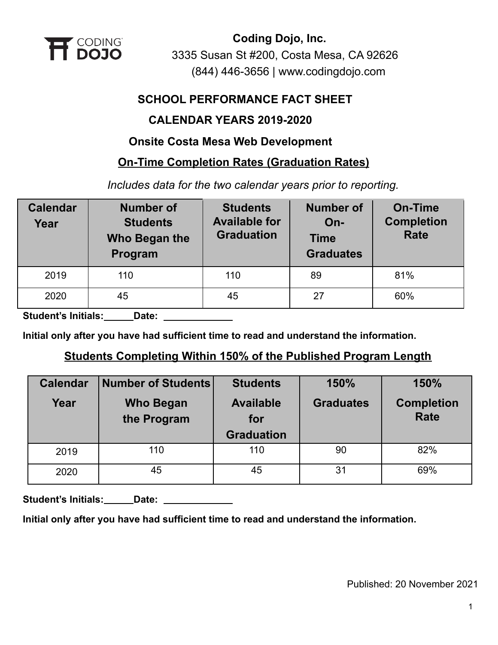

## **SCHOOL PERFORMANCE FACT SHEET**

## **CALENDAR YEARS 2019-2020**

## **Onsite Costa Mesa Web Development**

## **On-Time Completion Rates (Graduation Rates)**

*Includes data for the two calendar years prior to reporting.*

| <b>Calendar</b><br>Year | <b>Number of</b><br><b>Students</b><br>Who Began the<br>Program | <b>Students</b><br><b>Available for</b><br><b>Graduation</b> | <b>Number of</b><br>$On-$<br><b>Time</b><br><b>Graduates</b> | <b>On-Time</b><br><b>Completion</b><br><b>Rate</b> |
|-------------------------|-----------------------------------------------------------------|--------------------------------------------------------------|--------------------------------------------------------------|----------------------------------------------------|
| 2019                    | 110                                                             | 110                                                          | 89                                                           | 81%                                                |
| 2020                    | 45                                                              | 45                                                           | 27                                                           | 60%                                                |

**Student's Initials: Date:**

**Initial only after you have had sufficient time to read and understand the information.**

## **Students Completing Within 150% of the Published Program Length**

| <b>Calendar</b> | <b>Number of Students</b>       | <b>Students</b>                              | 150%             | 150%                             |
|-----------------|---------------------------------|----------------------------------------------|------------------|----------------------------------|
| Year            | <b>Who Began</b><br>the Program | <b>Available</b><br>for<br><b>Graduation</b> | <b>Graduates</b> | <b>Completion</b><br><b>Rate</b> |
| 2019            | 110                             | 110                                          | 90               | 82%                              |
| 2020            | 45                              | 45                                           | 31               | 69%                              |

Student's Initials: **Date: Date: Limitals: Date: Limital** 

**Initial only after you have had sufficient time to read and understand the information.**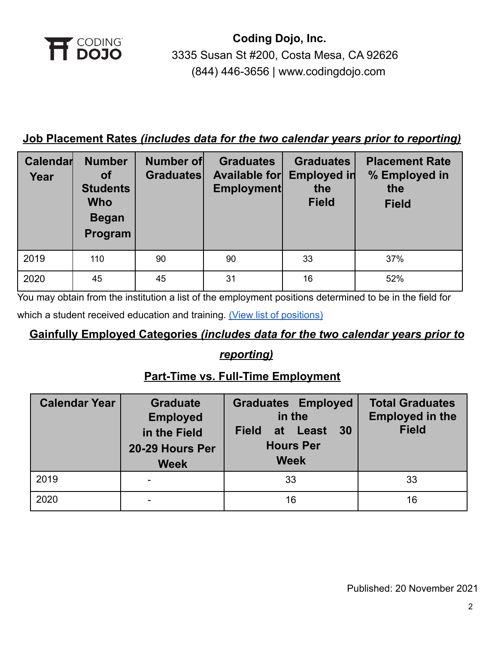

## **Job Placement Rates** *(includes data for the two calendar years prior to reporting)*

| Calendar<br>Year | <b>Number</b><br><b>of</b><br><b>Students</b><br><b>Who</b><br><b>Began</b><br>Program | <b>Number of</b><br><b>Graduates</b> | <b>Graduates</b><br><b>Available for</b><br>Employment | <b>Graduates</b><br><b>Employed in</b><br>the<br><b>Field</b> | <b>Placement Rate</b><br>% Employed in<br>the<br><b>Field</b> |
|------------------|----------------------------------------------------------------------------------------|--------------------------------------|--------------------------------------------------------|---------------------------------------------------------------|---------------------------------------------------------------|
| 2019             | 110                                                                                    | 90                                   | 90                                                     | 33                                                            | 37%                                                           |
| 2020             | 45                                                                                     | 45                                   | 31                                                     | 16                                                            | 52%                                                           |

You may obtain from the institution a list of the employment positions determined to be in the field for

which a student received education and training. (View [list of positions\)](https://cdn2.codingdojo.com/files/alumni_positions.pdf)

## **Gainfully Employed Categories** *(includes data for the two calendar years prior to*

## *reporting)*

## **Part-Time vs. Full-Time Employment**

| <b>Calendar Year</b> | <b>Graduate</b><br><b>Employed</b><br>in the Field<br>20-29 Hours Per<br><b>Week</b> | <b>Graduates Employed</b><br>in the<br>30<br><b>Field</b><br>at Least<br><b>Hours Per</b><br><b>Week</b> | <b>Total Graduates</b><br><b>Employed in the</b><br><b>Field</b> |
|----------------------|--------------------------------------------------------------------------------------|----------------------------------------------------------------------------------------------------------|------------------------------------------------------------------|
| 2019                 |                                                                                      | 33                                                                                                       | 33                                                               |
| 2020                 |                                                                                      | 16                                                                                                       | 16                                                               |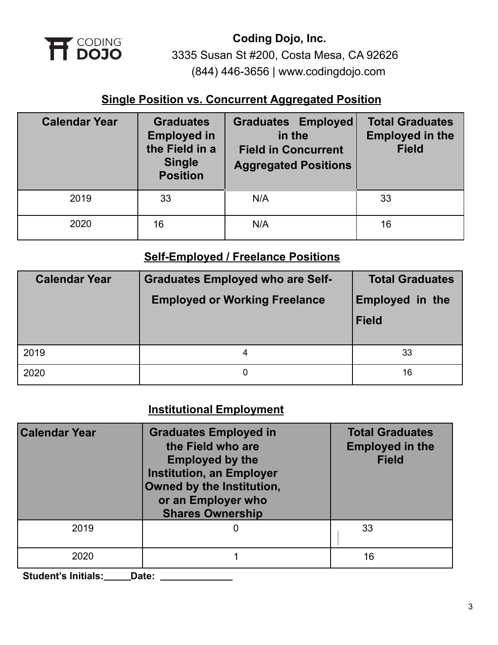

## **Single Position vs. Concurrent Aggregated Position**

| <b>Calendar Year</b> | <b>Graduates</b><br><b>Employed in</b><br>the Field in a<br><b>Single</b><br><b>Position</b> | <b>Graduates Employed</b><br>in the<br><b>Field in Concurrent</b><br><b>Aggregated Positions</b> | <b>Total Graduates</b><br><b>Employed in the</b><br><b>Field</b> |
|----------------------|----------------------------------------------------------------------------------------------|--------------------------------------------------------------------------------------------------|------------------------------------------------------------------|
| 2019                 | 33                                                                                           | N/A                                                                                              | 33                                                               |
| 2020                 | 16                                                                                           | N/A                                                                                              | 16                                                               |

## **Self-Employed / Freelance Positions**

| <b>Calendar Year</b> | <b>Graduates Employed who are Self-</b><br><b>Employed or Working Freelance</b> | <b>Total Graduates</b><br><b>Employed in the</b><br><b>Field</b> |
|----------------------|---------------------------------------------------------------------------------|------------------------------------------------------------------|
| 2019                 |                                                                                 | 33                                                               |
| 2020                 | 0                                                                               | 16                                                               |

# **Institutional Employment**

| <b>Calendar Year</b> | <b>Graduates Employed in</b><br>the Field who are<br><b>Employed by the</b><br><b>Institution, an Employer</b><br>Owned by the Institution,<br>or an Employer who<br><b>Shares Ownership</b> | <b>Total Graduates</b><br><b>Employed in the</b><br><b>Field</b> |
|----------------------|----------------------------------------------------------------------------------------------------------------------------------------------------------------------------------------------|------------------------------------------------------------------|
| 2019                 |                                                                                                                                                                                              | 33                                                               |
| 2020                 |                                                                                                                                                                                              | 16                                                               |

**Student's Initials: Date:**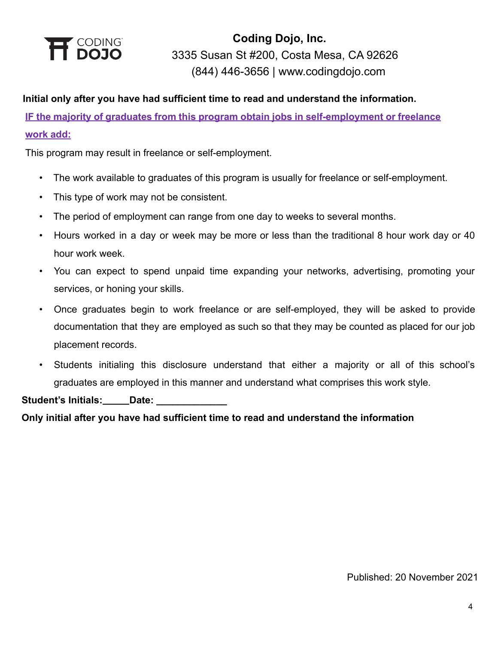

### **Initial only after you have had sufficient time to read and understand the information.**

**IF the majority of graduates from this program obtain jobs in self-employment or freelance work add:**

This program may result in freelance or self-employment.

- The work available to graduates of this program is usually for freelance or self-employment.
- This type of work may not be consistent.
- The period of employment can range from one day to weeks to several months.
- Hours worked in a day or week may be more or less than the traditional 8 hour work day or 40 hour work week.
- You can expect to spend unpaid time expanding your networks, advertising, promoting your services, or honing your skills.
- Once graduates begin to work freelance or are self-employed, they will be asked to provide documentation that they are employed as such so that they may be counted as placed for our job placement records.
- Students initialing this disclosure understand that either a majority or all of this school's graduates are employed in this manner and understand what comprises this work style.

Student's Initials: \_\_\_\_\_Date:

**Only initial after you have had sufficient time to read and understand the information**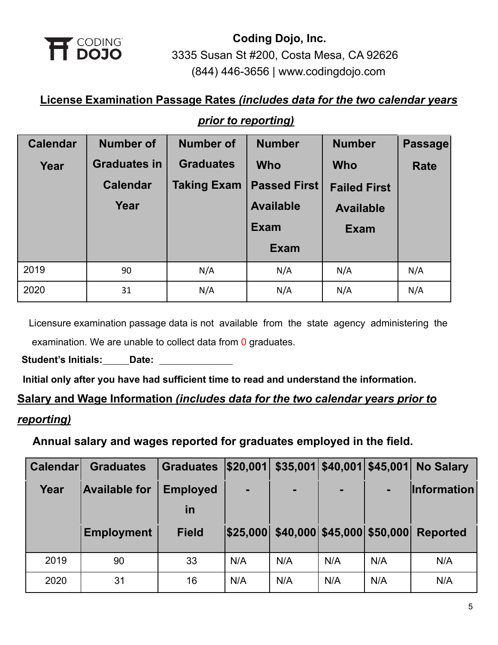

# **License Examination Passage Rates** *(includes data for the two calendar years*

## *prior to reporting)*

| <b>Calendar</b> | <b>Number of</b>    | <b>Number of</b>   | <b>Number</b>       | <b>Number</b>       | Passage |
|-----------------|---------------------|--------------------|---------------------|---------------------|---------|
| Year            | <b>Graduates in</b> | <b>Graduates</b>   | <b>Who</b>          | <b>Who</b>          | Rate    |
|                 | <b>Calendar</b>     | <b>Taking Exam</b> | <b>Passed First</b> | <b>Failed First</b> |         |
|                 | Year                |                    | <b>Available</b>    | <b>Available</b>    |         |
|                 |                     |                    | <b>Exam</b>         | <b>Exam</b>         |         |
|                 |                     |                    | <b>Exam</b>         |                     |         |
| 2019            | 90                  | N/A                | N/A                 | N/A                 | N/A     |
| 2020            | 31                  | N/A                | N/A                 | N/A                 | N/A     |

Licensure examination passage data is not available from the state agency administering the examination. We are unable to collect data from 0 graduates.

**Student's Initials: Date:**

**Initial only after you have had sufficient time to read and understand the information.**

# **Salary and Wage Information** *(includes data for the two calendar years prior to reporting)*

## **Annual salary and wages reported for graduates employed in the field.**

| <b>Calendar</b> | <b>Graduates</b>     | <b>Graduates</b> | \$20,001 |                                     | $$35,001$ $$40,001$ $$45,001$ |     | <b>No Salary</b>   |
|-----------------|----------------------|------------------|----------|-------------------------------------|-------------------------------|-----|--------------------|
| Year            | <b>Available for</b> | <b>Employed</b>  | ٠        | ۰                                   | $\blacksquare$                |     | <b>Information</b> |
|                 |                      | in               |          |                                     |                               |     |                    |
|                 | <b>Employment</b>    | <b>Field</b>     |          | \$25,000 \$40,000 \$45,000 \$50,000 |                               |     | <b>Reported</b>    |
|                 |                      |                  |          |                                     |                               |     |                    |
| 2019            | 90                   | 33               | N/A      | N/A                                 | N/A                           | N/A | N/A                |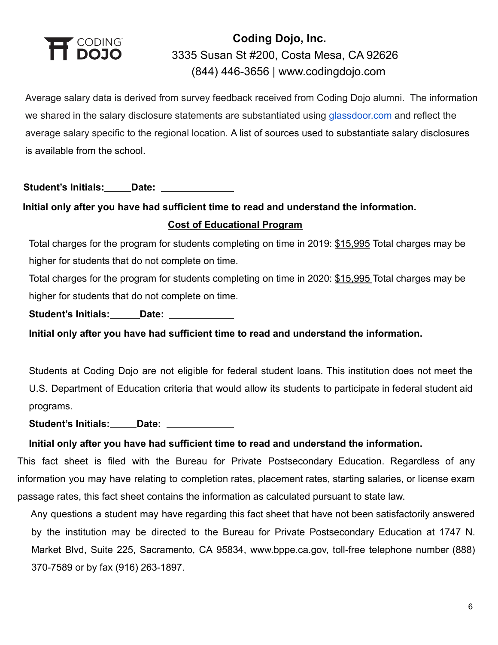

Average salary data is derived from survey feedback received from Coding Dojo alumni. The information we shared in the salary disclosure statements are substantiated using [glassdoor.com](http://glassdoor.com/) and reflect the average salary specific to the regional location. A list of sources used to substantiate salary disclosures is available from the school.

**Student's Initials: Date:**

# **Initial only after you have had sufficient time to read and understand the information. Cost of Educational Program**

Total charges for the program for students completing on time in 2019: \$15,995 Total charges may be higher for students that do not complete on time.

Total charges for the program for students completing on time in 2020: \$15,995 Total charges may be higher for students that do not complete on time.

Student's Initials: **Date: Date: Date: Date: Date: Date: Date: Date: Date: Date: Date: Date: Date: Date: Date: Date: Date: Date: Date: Date: Date: Date: Date: Date: Date: D** 

**Initial only after you have had sufficient time to read and understand the information.**

Students at Coding Dojo are not eligible for federal student loans. This institution does not meet the U.S. Department of Education criteria that would allow its students to participate in federal student aid programs.

**Student's Initials: Date:**

#### **Initial only after you have had sufficient time to read and understand the information.**

This fact sheet is filed with the Bureau for Private Postsecondary Education. Regardless of any information you may have relating to completion rates, placement rates, starting salaries, or license exam passage rates, this fact sheet contains the information as calculated pursuant to state law.

Any questions a student may have regarding this fact sheet that have not been satisfactorily answered by the institution may be directed to the Bureau for Private Postsecondary Education at 1747 N. Market Blvd, Suite 225, Sacramento, CA 95834, www.bppe.ca.gov, toll-free telephone number (888) 370-7589 or by fax (916) 263-1897.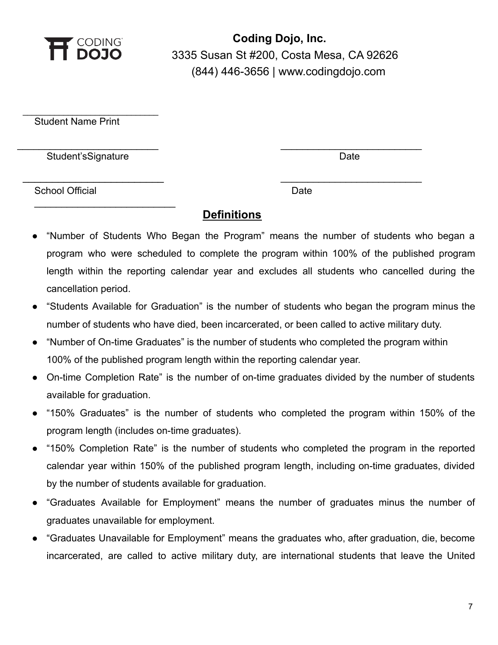

Student Name Print

Student'sSignature Date Date Date Date

 $\_$ 

 $\overline{\phantom{a}}$  , where  $\overline{\phantom{a}}$  , where  $\overline{\phantom{a}}$  , where  $\overline{\phantom{a}}$  , where  $\overline{\phantom{a}}$ 

School Official Date Date Date Date

## **Definitions**

\_\_\_\_\_\_\_\_\_\_\_\_\_\_\_\_\_\_\_\_\_\_\_\_\_\_ \_\_\_\_\_\_\_\_\_\_\_\_\_\_\_\_\_\_\_\_\_\_\_\_\_\_

\_\_\_\_\_\_\_\_\_\_\_\_\_\_\_\_\_\_\_\_\_\_\_\_ \_\_\_\_\_\_\_\_\_\_\_\_\_\_\_\_\_\_\_\_\_\_\_\_\_\_

- "Number of Students Who Began the Program" means the number of students who began a program who were scheduled to complete the program within 100% of the published program length within the reporting calendar year and excludes all students who cancelled during the cancellation period.
- "Students Available for Graduation" is the number of students who began the program minus the number of students who have died, been incarcerated, or been called to active military duty.
- "Number of On-time Graduates" is the number of students who completed the program within 100% of the published program length within the reporting calendar year.
- On-time Completion Rate" is the number of on-time graduates divided by the number of students available for graduation.
- "150% Graduates" is the number of students who completed the program within 150% of the program length (includes on-time graduates).
- "150% Completion Rate" is the number of students who completed the program in the reported calendar year within 150% of the published program length, including on-time graduates, divided by the number of students available for graduation.
- "Graduates Available for Employment" means the number of graduates minus the number of graduates unavailable for employment.
- "Graduates Unavailable for Employment" means the graduates who, after graduation, die, become incarcerated, are called to active military duty, are international students that leave the United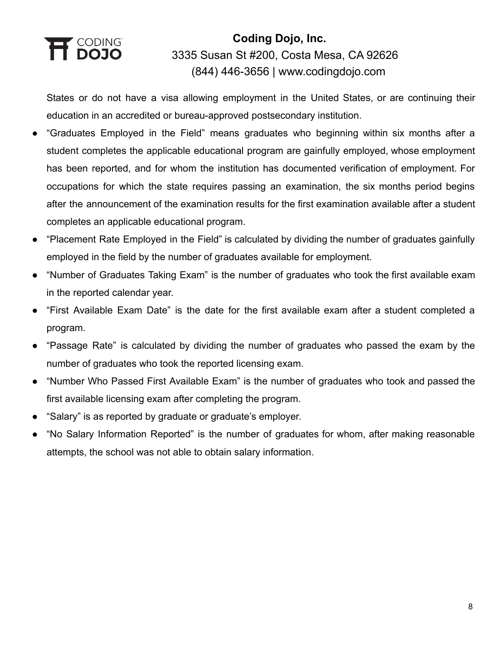# T CODING<br>**1 DOJO**

# **Coding Dojo, Inc.** 3335 Susan St #200, Costa Mesa, CA 92626 (844) 446-3656 | [www.codingdojo.com](http://www.codingdojo.com)

States or do not have a visa allowing employment in the United States, or are continuing their education in an accredited or bureau-approved postsecondary institution.

- "Graduates Employed in the Field" means graduates who beginning within six months after a student completes the applicable educational program are gainfully employed, whose employment has been reported, and for whom the institution has documented verification of employment. For occupations for which the state requires passing an examination, the six months period begins after the announcement of the examination results for the first examination available after a student completes an applicable educational program.
- "Placement Rate Employed in the Field" is calculated by dividing the number of graduates gainfully employed in the field by the number of graduates available for employment.
- "Number of Graduates Taking Exam" is the number of graduates who took the first available exam in the reported calendar year.
- "First Available Exam Date" is the date for the first available exam after a student completed a program.
- "Passage Rate" is calculated by dividing the number of graduates who passed the exam by the number of graduates who took the reported licensing exam.
- "Number Who Passed First Available Exam" is the number of graduates who took and passed the first available licensing exam after completing the program.
- "Salary" is as reported by graduate or graduate's employer.
- "No Salary Information Reported" is the number of graduates for whom, after making reasonable attempts, the school was not able to obtain salary information.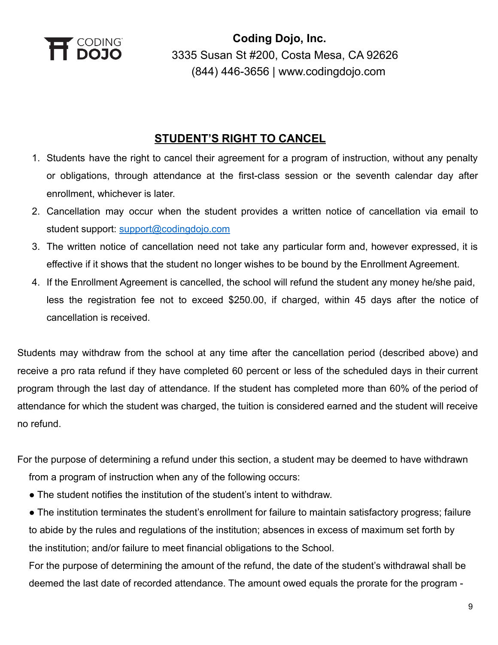

## **STUDENT'S RIGHT TO CANCEL**

- 1. Students have the right to cancel their agreement for a program of instruction, without any penalty or obligations, through attendance at the first-class session or the seventh calendar day after enrollment, whichever is later.
- 2. Cancellation may occur when the student provides a written notice of cancellation via email to student support: [support@codingdojo.com](mailto:support@codingdojo.com)
- 3. The written notice of cancellation need not take any particular form and, however expressed, it is effective if it shows that the student no longer wishes to be bound by the Enrollment Agreement.
- 4. If the Enrollment Agreement is cancelled, the school will refund the student any money he/she paid, less the registration fee not to exceed \$250.00, if charged, within 45 days after the notice of cancellation is received.

Students may withdraw from the school at any time after the cancellation period (described above) and receive a pro rata refund if they have completed 60 percent or less of the scheduled days in their current program through the last day of attendance. If the student has completed more than 60% of the period of attendance for which the student was charged, the tuition is considered earned and the student will receive no refund.

For the purpose of determining a refund under this section, a student may be deemed to have withdrawn from a program of instruction when any of the following occurs:

- The student notifies the institution of the student's intent to withdraw.
- The institution terminates the student's enrollment for failure to maintain satisfactory progress; failure to abide by the rules and regulations of the institution; absences in excess of maximum set forth by the institution; and/or failure to meet financial obligations to the School.

For the purpose of determining the amount of the refund, the date of the student's withdrawal shall be deemed the last date of recorded attendance. The amount owed equals the prorate for the program -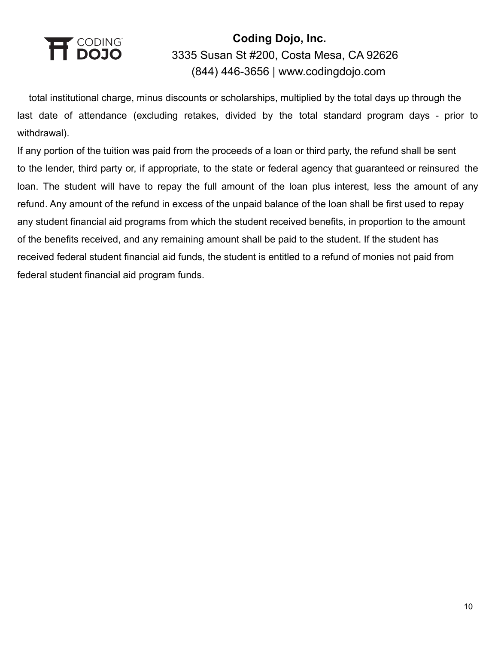

total institutional charge, minus discounts or scholarships, multiplied by the total days up through the last date of attendance (excluding retakes, divided by the total standard program days - prior to withdrawal).

If any portion of the tuition was paid from the proceeds of a loan or third party, the refund shall be sent to the lender, third party or, if appropriate, to the state or federal agency that guaranteed or reinsured the loan. The student will have to repay the full amount of the loan plus interest, less the amount of any refund. Any amount of the refund in excess of the unpaid balance of the loan shall be first used to repay any student financial aid programs from which the student received benefits, in proportion to the amount of the benefits received, and any remaining amount shall be paid to the student. If the student has received federal student financial aid funds, the student is entitled to a refund of monies not paid from federal student financial aid program funds.